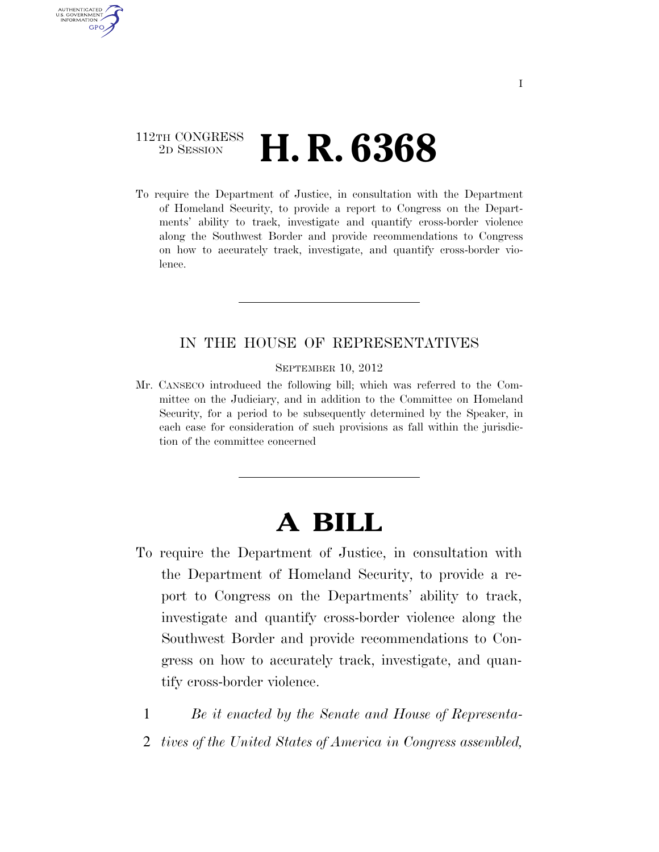## 112TH CONGRESS <sup>2D SESSION</sup> **H. R. 6368**

AUTHENTICATED U.S. GOVERNMENT GPO

> To require the Department of Justice, in consultation with the Department of Homeland Security, to provide a report to Congress on the Departments' ability to track, investigate and quantify cross-border violence along the Southwest Border and provide recommendations to Congress on how to accurately track, investigate, and quantify cross-border violence.

## IN THE HOUSE OF REPRESENTATIVES

SEPTEMBER 10, 2012

Mr. CANSECO introduced the following bill; which was referred to the Committee on the Judiciary, and in addition to the Committee on Homeland Security, for a period to be subsequently determined by the Speaker, in each case for consideration of such provisions as fall within the jurisdiction of the committee concerned

## **A BILL**

- To require the Department of Justice, in consultation with the Department of Homeland Security, to provide a report to Congress on the Departments' ability to track, investigate and quantify cross-border violence along the Southwest Border and provide recommendations to Congress on how to accurately track, investigate, and quantify cross-border violence.
	- 1 *Be it enacted by the Senate and House of Representa-*
	- 2 *tives of the United States of America in Congress assembled,*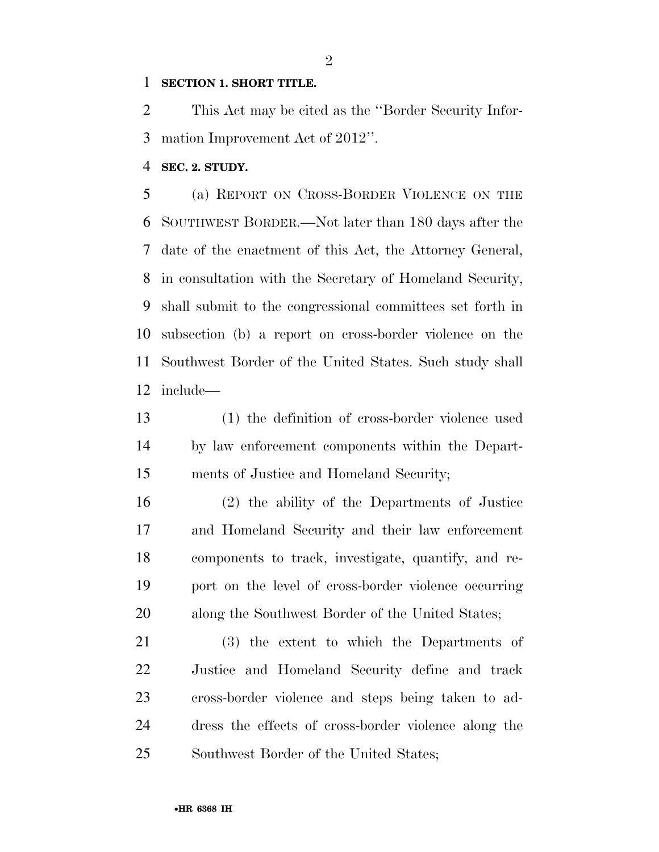## **SECTION 1. SHORT TITLE.**

 This Act may be cited as the ''Border Security Infor-mation Improvement Act of 2012''.

**SEC. 2. STUDY.** 

 (a) REPORT ON CROSS-BORDER VIOLENCE ON THE SOUTHWEST BORDER.—Not later than 180 days after the date of the enactment of this Act, the Attorney General, in consultation with the Secretary of Homeland Security, shall submit to the congressional committees set forth in subsection (b) a report on cross-border violence on the Southwest Border of the United States. Such study shall include—

 (1) the definition of cross-border violence used by law enforcement components within the Depart-ments of Justice and Homeland Security;

 (2) the ability of the Departments of Justice and Homeland Security and their law enforcement components to track, investigate, quantify, and re- port on the level of cross-border violence occurring along the Southwest Border of the United States;

 (3) the extent to which the Departments of Justice and Homeland Security define and track cross-border violence and steps being taken to ad- dress the effects of cross-border violence along the Southwest Border of the United States;